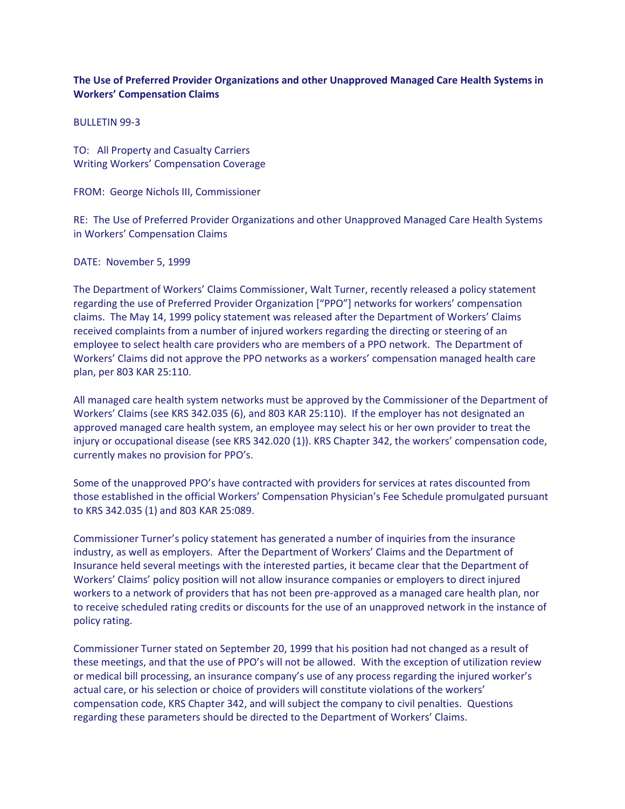## **The Use of Preferred Provider Organizations and other Unapproved Managed Care Health Systems in Workers' Compensation Claims**

BULLETIN 99-3

TO: All Property and Casualty Carriers Writing Workers' Compensation Coverage

FROM: George Nichols III, Commissioner

RE: The Use of Preferred Provider Organizations and other Unapproved Managed Care Health Systems in Workers' Compensation Claims

DATE: November 5, 1999

The Department of Workers' Claims Commissioner, Walt Turner, recently released a policy statement regarding the use of Preferred Provider Organization ["PPO"] networks for workers' compensation claims. The May 14, 1999 policy statement was released after the Department of Workers' Claims received complaints from a number of injured workers regarding the directing or steering of an employee to select health care providers who are members of a PPO network. The Department of Workers' Claims did not approve the PPO networks as a workers' compensation managed health care plan, per 803 KAR 25:110.

All managed care health system networks must be approved by the Commissioner of the Department of Workers' Claims (see KRS 342.035 (6), and 803 KAR 25:110). If the employer has not designated an approved managed care health system, an employee may select his or her own provider to treat the injury or occupational disease (see KRS 342.020 (1)). KRS Chapter 342, the workers' compensation code, currently makes no provision for PPO's.

Some of the unapproved PPO's have contracted with providers for services at rates discounted from those established in the official Workers' Compensation Physician's Fee Schedule promulgated pursuant to KRS 342.035 (1) and 803 KAR 25:089.

Commissioner Turner's policy statement has generated a number of inquiries from the insurance industry, as well as employers. After the Department of Workers' Claims and the Department of Insurance held several meetings with the interested parties, it became clear that the Department of Workers' Claims' policy position will not allow insurance companies or employers to direct injured workers to a network of providers that has not been pre-approved as a managed care health plan, nor to receive scheduled rating credits or discounts for the use of an unapproved network in the instance of policy rating.

Commissioner Turner stated on September 20, 1999 that his position had not changed as a result of these meetings, and that the use of PPO's will not be allowed. With the exception of utilization review or medical bill processing, an insurance company's use of any process regarding the injured worker's actual care, or his selection or choice of providers will constitute violations of the workers' compensation code, KRS Chapter 342, and will subject the company to civil penalties. Questions regarding these parameters should be directed to the Department of Workers' Claims.